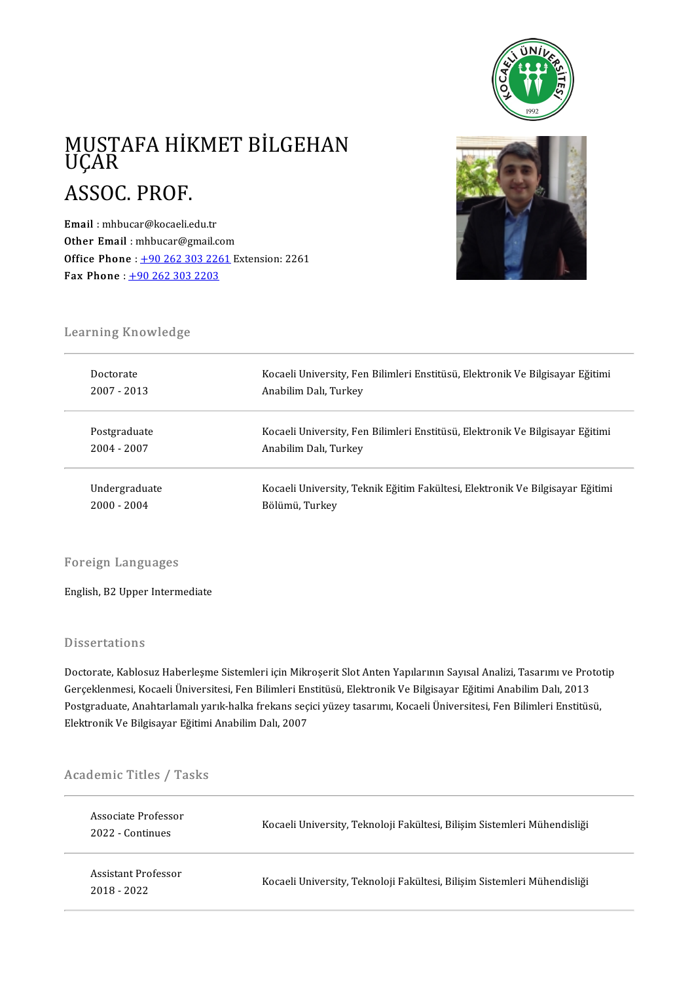

### MUSTAFA HİKMET BİLGEHAN<br>UÇAR MUSTA<br>UÇAR<br>ASSOC MUSTAFA HİK<br>UÇAR<br>ASSOC. PROF.

ASSOC. PROF.<br>
Email : mhbucar@kocaeli.edu.tr<br>
Other Email : mhbucar@gmail.com Email : mhbucar@kocaeli.edu.tr Email : mhbucar@kocaeli.edu.tr<br>Other Email : mhbucar@gmail.com<br>Office Phone : <u>+90 262 303 2261</u> Extension: 2261 Other Email : mhbucar@gmail.co<br>Office Phone : <u>[+9](tel:+90 262 303 2203)0 262 303 226</u><br>Fax Phone : <u>+90 262 303 2203</u>



# Learning Knowledge<br>Learning Knowledge

| Learning Knowledge |                                                                               |  |  |  |
|--------------------|-------------------------------------------------------------------------------|--|--|--|
| Doctorate          | Kocaeli University, Fen Bilimleri Enstitüsü, Elektronik Ve Bilgisayar Eğitimi |  |  |  |
| $2007 - 2013$      | Anabilim Dalı, Turkey                                                         |  |  |  |
| Postgraduate       | Kocaeli University, Fen Bilimleri Enstitüsü, Elektronik Ve Bilgisayar Eğitimi |  |  |  |
| 2004 - 2007        | Anabilim Dalı, Turkey                                                         |  |  |  |
| Undergraduate      | Kocaeli University, Teknik Eğitim Fakültesi, Elektronik Ve Bilgisayar Eğitimi |  |  |  |
| $2000 - 2004$      | Bölümü, Turkey                                                                |  |  |  |

### Foreign Languages

English, B2 Upper Intermediate

### **Dissertations**

Doctorate, Kablosuz Haberleşme Sistemleri için Mikroşerit Slot Anten Yapılarının Sayısal Analizi, Tasarımı ve Prototip Basser tatroms<br>Doctorate, Kablosuz Haberleşme Sistemleri için Mikroşerit Slot Anten Yapılarının Sayısal Analizi, Tasarımı ve Pro<br>Gerçeklenmesi, Kocaeli Üniversitesi, Fen Bilimleri Enstitüsü, Elektronik Ve Bilgisayar Eğitim Postgraduate, Anahtarlamalı yarık-halka frekans seçici yüzey tasarımı, Kocaeli Üniversitesi, Fen Bilimleri Enstitüsü,<br>Elektronik Ve Bilgisayar Eğitimi Anabilim Dalı, 2007 Gerçeklenmesi, Kocaeli Üniversitesi, Fen Bilimleri En<br>Postgraduate, Anahtarlamalı yarık-halka frekans seçi<br>Elektronik Ve Bilgisayar Eğitimi Anabilim Dalı, 2007

# вектопк ve виgisayar вgiumi<br>Academic Titles / Tasks

| Academic Titles / Tasks               |                                                                          |  |  |  |
|---------------------------------------|--------------------------------------------------------------------------|--|--|--|
| Associate Professor<br>2022 Continues | Kocaeli University, Teknoloji Fakültesi, Bilişim Sistemleri Mühendisliği |  |  |  |
| Assistant Professor<br>2018 - 2022    | Kocaeli University, Teknoloji Fakültesi, Bilişim Sistemleri Mühendisliği |  |  |  |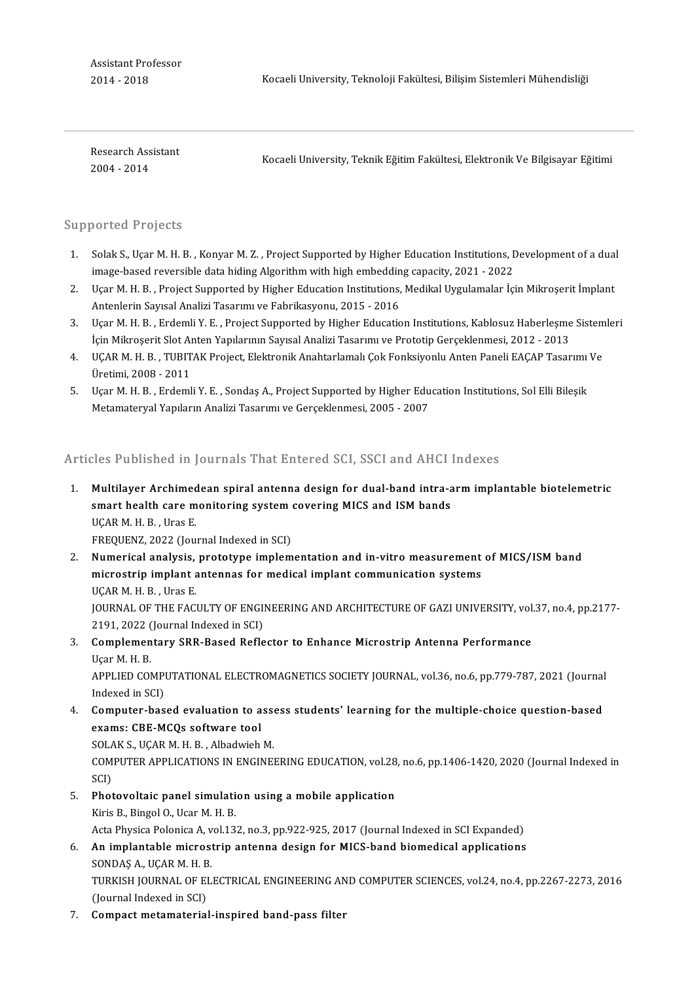Assistant Professor<br>2014 - 2018

Kocaeli University, Teknoloji Fakültesi, Bilişim Sistemleri Mühendisliği

Research Assistant 2004-2014

Kocaeli University, Teknik Eğitim Fakültesi, Elektronik Ve Bilgisayar Eğitimi

### Supported Projects

- 1. Solak S., Uçar M. H. B., Konyar M. Z., Project Supported by Higher Education Institutions, Development of a dual image-based reversible data hiding Algorithm with high embedding capacity, 2021 - 2022 2. Solak S., Uçar M. H. B. , Konyar M. Z. , Project Supported by Higher Education Institutions, Development of a dual<br>2. Uçar M. H. B. , Project Supported by Higher Education Institutions, Medikal Uygulamalar İçin Mikroşer
- image-based reversible data hiding Algorithm with high embeddin<br>Uçar M. H. B. , Project Supported by Higher Education Institutions,<br>Antenlerin Sayısal Analizi Tasarımı ve Fabrikasyonu, 2015 2016<br>Hear M. H. B., Endomli V. 3. Uçar M. H. B. , Project Supported by Higher Education Institutions, Medikal Uygulamalar İçin Mikroşerit İmplant<br>Antenlerin Sayısal Analizi Tasarımı ve Fabrikasyonu, 2015 - 2016<br>3. Uçar M. H. B. , Erdemli Y. E. , Project
- Antenlerin Sayısal Analizi Tasarımı ve Fabrikasyonu, 2015 2016<br>Uçar M. H. B. , Erdemli Y. E. , Project Supported by Higher Education Institutions, Kablosuz Haberleşme<br>İçin Mikroşerit Slot Anten Yapılarının Sayısal Analiz 3. Uçar M. H. B. , Erdemli Y. E. , Project Supported by Higher Education Institutions, Kablosuz Haberleşme Sistem<br>1. İçin Mikroşerit Slot Anten Yapılarının Sayısal Analizi Tasarımı ve Prototip Gerçeklenmesi, 2012 - 2013<br>1.
- İçin Mikroşerit Slot Aı<br>UÇAR M. H. B. , TUBIT<br>Üretimi, 2008 2011<br>Hear M. H. B. , Erdeml 5. UÇAR M. H. B. , TUBITAK Project, Elektronik Anahtarlamalı Çok Fonksiyonlu Anten Paneli EAÇAP Tasarımı<br>Üretimi, 2008 - 2011<br>5. Uçar M. H. B. , Erdemli Y. E. , Sondaş A., Project Supported by Higher Education Institutions
- Üretimi, 2008 2011<br>Uçar M. H. B. , Erdemli Y. E. , Sondaş A., Project Supported by Higher Edu<br>Metamateryal Yapıların Analizi Tasarımı ve Gerçeklenmesi, 2005 2007

Metamateryal Yapıların Analizi Tasarımı ve Gerçeklenmesi, 2005 - 2007<br>Articles Published in Journals That Entered SCI, SSCI and AHCI Indexes

- Fichtian Commission and School City Standard Commission and Section and Andrean School City Archimedean spiral<br>1. Multilayer Archimedean spiral antenna design for dual-band intra-arm implantable biotelemetric<br>1. Multilayer shoot absisted in journals that differed box, boot and infect<br>Multilayer Archimedean spiral antenna design for dual-band intra-a<br>smart health care monitoring system covering MICS and ISM bands Multilayer Archimed<br>smart health care m<br>UÇAR M. H. B. , Uras E.<br>EREQUENZ 2022 (Leu smart health care monitoring system covering MICS and ISM bands<br>UÇAR M. H. B. , Uras E.<br>FREQUENZ, 2022 (Journal Indexed in SCI) UÇAR M. H. B. , Uras E.<br>2. FREQUENZ, 2022 (Journal Indexed in SCI)<br>2. Numerical analysis, prototype implementation and in-vitro measurement of MICS/ISM band<br>2. Mumerical analysis, prototype implementation and in-vitro meas
- FREQUENZ, 2022 (Journal Indexed in SCI)<br>Numerical analysis, prototype implementation and in-vitro measurement<br>microstrip implant antennas for medical implant communication systems<br>UCAP M H P Ures F **Numerical analysis,<br>microstrip implant a<br>UÇAR M. H. B. , Uras E.<br>JOUPNAL OF THE EAC** microstrip implant antennas for medical implant communication systems<br>UÇAR M. H. B. , Uras E.<br>JOURNAL OF THE FACULTY OF ENGINEERING AND ARCHITECTURE OF GAZI UNIVERSITY, vol.37, no.4, pp.2177-2191, 2022 (Journal Indexed in SCI) 3. JOURNAL OF THE FACULTY OF ENGINEERING AND ARCHITECTURE OF GAZI UNIVERSITY, vol.<br>2191, 2022 (Journal Indexed in SCI)<br>3. Complementary SRR-Based Reflector to Enhance Microstrip Antenna Performance
- 2191, 2022 (<br>**Complemen**<br>Uçar M. H. B.<br>APPLIED COM Complementary SRR-Based Reflector to Enhance Microstrip Antenna Performance<br>Uçar M. H. B.<br>APPLIED COMPUTATIONAL ELECTROMAGNETICS SOCIETY JOURNAL, vol.36, no.6, pp.779-787, 2021 (Journal<br>Indeved in SCD Uçar M. H. B.<br>APPLIED COMPI<br>Indexed in SCI)<br>Computer bas APPLIED COMPUTATIONAL ELECTROMAGNETICS SOCIETY JOURNAL, vol.36, no.6, pp.779-787, 2021 (Journal<br>Indexed in SCI)<br>4. Computer-based evaluation to assess students' learning for the multiple-choice question-based<br>avame: CBE MC
- Indexed in SCI)<br>Computer-based evaluation to a<br>exams: CBE-MCQs software tool<br>SOLAKS, UCARM H, B., Albadwish Computer-based evaluation to asse<br>exams: CBE-MCQs software tool<br>SOLAK S., UÇAR M. H. B. , Albadwieh M.<br>COMPUTER ARRI ICATIONS IN ENCINE

exams: CBE-MCQs software tool<br>SOLAK S., UÇAR M. H. B. , Albadwieh M.<br>COMPUTER APPLICATIONS IN ENGINEERING EDUCATION, vol.28, no.6, pp.1406-1420, 2020 (Journal Indexed in<br>SCI) SOLA<br>COM<br>SCI)<br>Phot 5. COMPUTER APPLICATIONS IN ENGINEERING EDUCATION, vol.28<br>5. Photovoltaic panel simulation using a mobile application<br><sup>Virio B</sup>. <sup>Pingel O.</sub> User M. H. B.</sup>

- SCI)<br><mark>Photovoltaic panel simulati</mark><br>Kiris B., Bingol O., Ucar M. H. B.<br>Asta Physisa Polonisa A. vol 12 Kiris B., Bingol O., Ucar M. H. B.<br>Acta Physica Polonica A, vol.132, no.3, pp.922-925, 2017 (Journal Indexed in SCI Expanded) Kiris B., Bingol O., Ucar M. H. B.<br>Acta Physica Polonica A, vol.132, no.3, pp.922-925, 2017 (Journal Indexed in SCI Expanded)<br>6. An implantable microstrip antenna design for MICS-band biomedical applications<br>SONDAS A. UCAR
- Acta Physica Polonica A, v<br><mark>An implantable micros</mark><br>SONDAŞ A., UÇAR M. H. B.<br>TURKISH JOURNAL OF FL An implantable microstrip antenna design for MICS-band biomedical applications<br>SONDAŞ A., UÇAR M. H. B.<br>TURKISH JOURNAL OF ELECTRICAL ENGINEERING AND COMPUTER SCIENCES, vol.24, no.4, pp.2267-2273, 2016<br>(Jaurnal Indoved in SONDAŞ A., UÇAR M. H. B<br>TURKISH JOURNAL OF EI<br>(Journal Indexed in SCI)<br>Comnast matamatarial TURKISH JOURNAL OF ELECTRICAL ENGINEERING AN<br>(Journal Indexed in SCI)<br>7. Compact metamaterial-inspired band-pass filter
-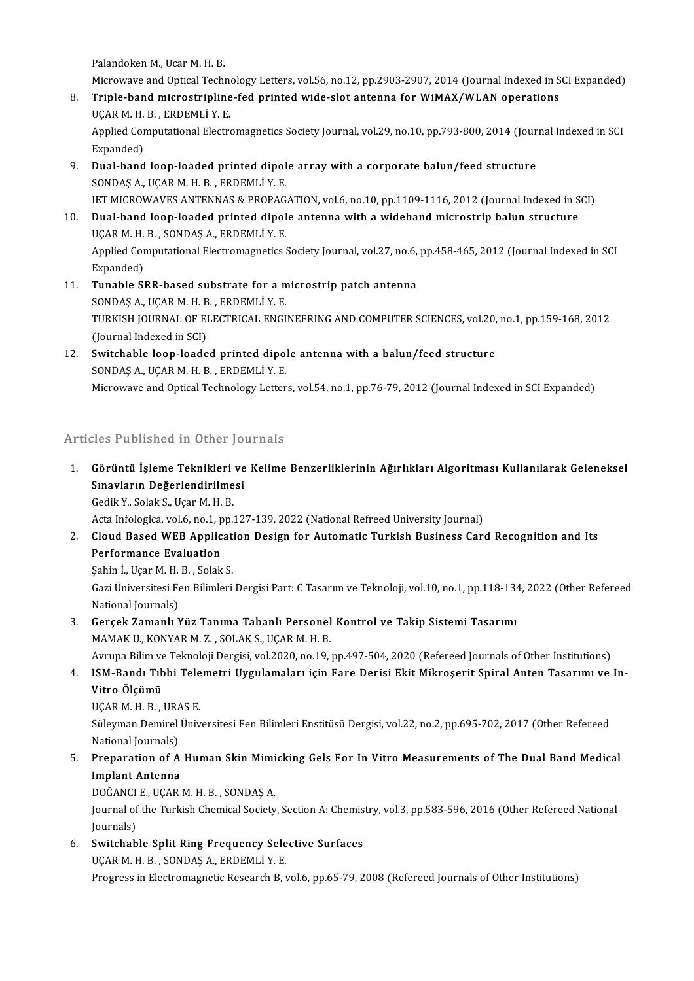Palandoken M., Ucar M. H. B.

Palandoken M., Ucar M. H. B.<br>Microwave and Optical Technology Letters, vol.56, no.12, pp.2903-2907, 2014 (Journal Indexed in SCI Expanded)<br>Triple hand microstripling fod printed wide alst antenne for WiMAX (WLAN enerations

- Palandoken M., Ucar M. H. B.<br>Microwave and Optical Technology Letters, vol.56, no.12, pp.2903-2907, 2014 (Journal Indexed in S<br>8. Triple-band microstripline-fed printed wide-slot antenna for WiMAX/WLAN operations<br>UCARM H. Microwave and Optical Techne<br>Triple-band microstripline<br>UÇAR M. H. B. , ERDEMLİ Y. E.<br>Annlied Computational Electra Triple-band microstripline-fed printed wide-slot antenna for WiMAX/WLAN operations<br>UÇAR M. H. B. , ERDEMLİ Y. E.<br>Applied Computational Electromagnetics Society Journal, vol.29, no.10, pp.793-800, 2014 (Journal Indexed in S UÇAR M. H.<br>Applied Cor<br>Expanded)<br>Dual band
- 9. Applied Computational Electromagnetics Society Journal, vol.29, no.10, pp.793-800, 2014 (Journal, expanded)<br>9. Dual-band loop-loaded printed dipole array with a corporate balun/feed structure<br>9. Dual-band loop-loaded pr Expanded)<br>9. Dual-band loop-loaded printed dipole array with a corporate balun/feed structure<br>SONDAS A., UÇAR M. H. B. , ERDEMLİY. E. Dual-band loop-loaded printed dipole array with a corporate balun/feed structure<br>SONDAS A., UÇAR M. H. B. , ERDEMLİ Y. E.<br>IET MICROWAVES ANTENNAS & PROPAGATION, vol.6, no.10, pp.1109-1116, 2012 (Journal Indexed in SCI)<br>Dua
- 10. Dual-band loop-loaded printed dipole antenna with a wideband microstrip balun structure IET MICROWAVES ANTENNAS & PROPAG.<br>Dual-band loop-loaded printed dipol<br>UÇAR M. H. B. , SONDAŞ A., ERDEMLİY. E.<br>Annlied Computational Electromagnatics ( Applied Computational Electromagnetics Society Journal, vol.27, no.6, pp.458-465, 2012 (Journal Indexed in SCI<br>Expanded) UCAR M. H. B., SONDAS A., ERDEMLI Y. E. Applied Computational Electromagnetics Society Journal, vol.27, no.6,<br>Expanded)<br>11. Tunable SRR-based substrate for a microstrip patch antenna<br>SONDAS A JICAR M H R EPDEMI I V E
- Expanded)<br>Tunable SRR-based substrate for a m<br>SONDAŞ A., UÇAR M. H. B. , ERDEMLİY. E.<br>TURKISH JOURNAL OF ELECTRICAL ENCI Tunable SRR-based substrate for a microstrip patch antenna<br>SONDAŞ A., UÇAR M. H. B. , ERDEMLİ Y. E.<br>TURKISH JOURNAL OF ELECTRICAL ENGINEERING AND COMPUTER SCIENCES, vol.20, no.1, pp.159-168, 2012<br>(Jaurnal Indoved in SCI) SONDAŞ A., UÇAR M. H. B<br>TURKISH JOURNAL OF EI<br>(Journal Indexed in SCI)<br>Suitsbable lean laade TURKISH JOURNAL OF ELECTRICAL ENGINEERING AND COMPUTER SCIENCES, vol.20,<br>(Journal Indexed in SCI)<br>12. Switchable loop-loaded printed dipole antenna with a balun/feed structure<br>SONDAS A JICAR M H B ERDEMLIVE
- (Journal Indexed in SCI)<br>Switchable loop-loaded printed dipol<br>SONDAŞ A., UÇAR M. H. B. , ERDEMLİ Y. E.<br>Missourus and Ontical Technology Letter SONDAȘ A., UÇAR M. H. B. , ERDEMLI Y. E.<br>Microwave and Optical Technology Letters, vol.54, no.1, pp.76-79, 2012 (Journal Indexed in SCI Expanded)

### Articles Published in Other Journals

Irticles Published in Other Journals<br>1. Görüntü İşleme Teknikleri ve Kelime Benzerliklerinin Ağırlıkları Algoritması Kullanılarak Geleneksel<br>Sinayların Değerlendirilmesi Sınavların Değerlendirilmesi<br>Sınavların Değerlendirilmesi<br>Sadik V. Salak S. Harı M. H. B Görüntü İşleme Teknikleri<br>Sınavların Değerlendirilme<br>Gedik Y., Solak S., Uçar M. H. B.<br>Asta Infalasiaa val 6 na 1 nn Sınavların Değerlendirilmesi<br>Gedik Y., Solak S., Uçar M. H. B.<br>Acta Infologica, vol.6, no.1, pp.127-139, 2022 (National Refreed University Journal)

6 Gedik Y., Solak S., Uçar M. H. B.<br>Acta Infologica, vol.6, no.1, pp.127-139, 2022 (National Refreed University Journal)<br>2. Cloud Based WEB Application Design for Automatic Turkish Business Card Recognition and Its<br>Perform Acta Infologica, vol.6, no.1, p<br>Cloud Based WEB Applic<br>Performance Evaluation<br>Sebin L Hear M H B - Selak Cloud Based WEB Applicat:<br>Performance Evaluation<br>Şahin İ., Uçar M. H. B. , Solak S.<br>Ceri Üniversitesi Fen Bilimleri

Sahin İ, Uçar M. H. B., Solak S.

Performance Evaluation<br>Şahin İ., Uçar M. H. B. , Solak S.<br>Gazi Üniversitesi Fen Bilimleri Dergisi Part: C Tasarım ve Teknoloji, vol.10, no.1, pp.118-134, 2022 (Other Refereed<br>National Journals) 3. Gazi Üniversitesi Fen Bilimleri Dergisi Part: C Tasarım ve Teknoloji, vol.10, no.1, pp.118-134<br>3. Gerçek Zamanlı Yüz Tanıma Tabanlı Personel Kontrol ve Takip Sistemi Tasarımı<br>5. MAMAKU KONYAR M.Z., SOLAKS, UGAR M.H.R.

National Journals)<br>Gerçek Zamanlı Yüz Tanıma Tabanlı Personel<br>MAMAK U., KONYAR M. Z. , SOLAK S., UÇAR M. H. B.<br>Ayruna Bilim ve Talmalaji Dargisi vel 2020 na 19 . Gerçek Zamanlı Yüz Tanıma Tabanlı Personel Kontrol ve Takip Sistemi Tasarımı<br>MAMAK U., KONYAR M. Z. , SOLAK S., UÇAR M. H. B.<br>Avrupa Bilim ve Teknoloji Dergisi, vol.2020, no.19, pp.497-504, 2020 (Refereed Journals of Other

MAMAK U., KONYAR M. Z. , SOLAK S., UÇAR M. H. B.<br>Avrupa Bilim ve Teknoloji Dergisi, vol.2020, no.19, pp.497-504, 2020 (Refereed Journals of Other Institutions)<br>4. ISM-Bandı Tıbbi Telemetri Uygulamaları için Fare Derisi Avrupa Bilim ve<br>I<mark>SM-Bandı Tıb</mark><br>Vitro Ölçümü<br>UCAP M H P ISM-Bandı Tıbbi Tele<br>Vitro Ölçümü<br>UÇAR M. H. B. , URAS E.<br>Süleyman Demirel Üniv

Vitro Ölçümü<br>UÇAR M. H. B. , URAS E.<br>Süleyman Demirel Üniversitesi Fen Bilimleri Enstitüsü Dergisi, vol.22, no.2, pp.695-702, 2017 (Other Refereed<br>National Journals) UÇAR M. H. B. , URA<br>Süleyman Demirel<br>National Journals)<br>Preparation of A 5. Süleyman Demirel Üniversitesi Fen Bilimleri Enstitüsü Dergisi, vol.22, no.2, pp.695-702, 2017 (Other Refereed<br>National Journals)<br>5. Preparation of A Human Skin Mimicking Gels For In Vitro Measurements of The Dual Band M

### National Journals)<br><mark>Preparation of A</mark><br>Implant Antenna<br>DOČANCI E JIGAR Preparation of A Human Skin Mimi<br>Implant Antenna<br>DOĞANCI E., UÇAR M. H. B. , SONDAŞ A.<br>Journal of the Turkish Chemical Society

I**mplant Antenna**<br>DOĞANCI E., UÇAR M. H. B. , SONDAŞ A.<br>Journal of the Turkish Chemical Society, Section A: Chemistry, vol.3, pp.583-596, 2016 (Other Refereed National DOĞANCI<br>Journal of<br>Journals)<br>Switcheb Journal of the Turkish Chemical Society, Section A: Chemis<br>Journals)<br>6. Switchable Split Ring Frequency Selective Surfaces<br>UCAR M H R SONDAS A ERDEMLI V E

Journals)<br>6. Switchable Split Ring Frequency Selective Surfaces<br>UÇAR M. H. B. , SONDAŞ A., ERDEMLİ Y. E.

Progress in Electromagnetic Research B, vol.6, pp.65-79, 2008 (Refereed Journals of Other Institutions)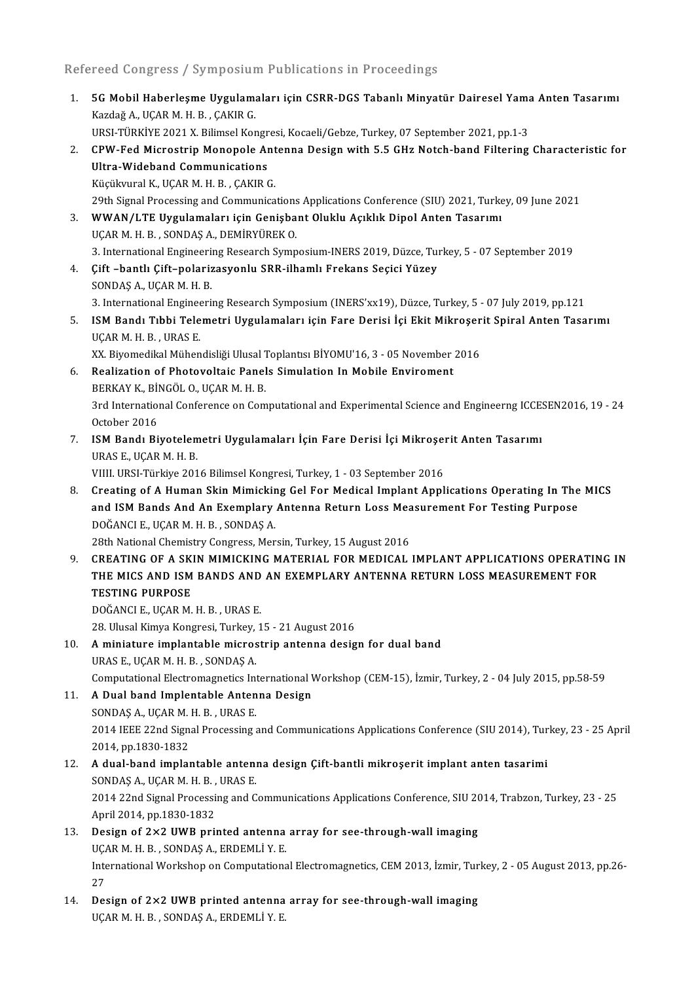Refereed Congress / Symposium Publications in Proceedings

lefereed Congress / Symposium Publications in Proceedings<br>1. 5G Mobil Haberleşme Uygulamaları için CSRR-DGS Tabanlı Minyatür Dairesel Yama Anten Tasarımı<br>. Kardağ A. UCAR M.H.R., CAKIR C Kazdağ A., UÇAR M. H. B., ÇAKIR G.<br>Kazdağ A., UÇAR M. H. B., ÇAKIR G.<br>URSI TÜRKİVE 2021 Y. Bilimsel Ker 5G Mobil Haberleşme Uygulamaları için CSRR-DGS Tabanlı Minyatür Dairesel Yama<br>Kazdağ A., UÇAR M. H. B. , ÇAKIR G.<br>URSI-TÜRKİYE 2021 X. Bilimsel Kongresi, Kocaeli/Gebze, Turkey, 07 September 2021, pp.1-3<br>CBW. Eed Misrestrin Kazdağ A., UÇAR M. H. B. , ÇAKIR G.<br>URSI-TÜRKİYE 2021 X. Bilimsel Kongresi, Kocaeli/Gebze, Turkey, 07 September 2021, pp.1-3<br>2. CPW-Fed Microstrip Monopole Antenna Design with 5.5 GHz Notch-band Filtering Characteristic fo URSI-TÜRKİYE 2021 X. Bilimsel Kongr<br>CPW-Fed Microstrip Monopole Ar<br>Ultra-Wideband Communications<br><sup>Wüdültman</sub>l V. UCAR M H B - CAVIR (</sup> KüçükvuralK.,UÇARM.H.B. ,ÇAKIRG. Ultra-Wideband Communications<br>Küçükvural K., UÇAR M. H. B. , ÇAKIR G.<br>29th Signal Processing and Communications Applications Conference (SIU) 2021, Turkey, 09 June 2021<br>WWAN (LTE Uvgulameları isin Conishant Oluklu Asıklık 3. WWAN/LTE Uygulamaları için Genişbant Oluklu Açıklık Dipol Anten Tasarımı 29th Signal Processing and Communications<br>WWAN/LTE Uygulamaları için Genişba<br>UÇAR M. H. B. , SONDAŞ A., DEMİRYÜREK O.<br>2. International Engineering Besearsh Sumn 3. International Engineering Research Symposium-INERS 2019, Düzce, Turkey, 5 - 07 September 2019 UÇAR M. H. B. , SONDAŞ A., DEMİRYÜREK O.<br>3. International Engineering Research Symposium-INERS 2019, Düzce, Turk.<br>4. Cift –bantlı Çift–polarizasyonlu SRR-ilhamlı Frekans Seçici Yüzey<br>SONDAS A. UCAR M. H. R 3. International Engineeri<br>**Çift –bantlı Çift–polariz**<br>SONDAŞ A., UÇAR M. H. B.<br><sup>2</sup>. International Engineeri Çift –bantlı Çift–polarizasyonlu SRR-ilhamlı Frekans Seçici Yüzey<br>SONDAŞ A., UÇAR M. H. B.<br>3. International Engineering Research Symposium (INERS'xx19), Düzce, Turkey, 5 - 07 July 2019, pp.121<br>ISM Bandı Tıbbi Telemetri Hyg SONDAŞ A., UÇAR M. H. B.<br>3. International Engineering Research Symposium (INERS'xx19), Düzce, Turkey, 5 - 07 July 2019, pp.121<br>5. ISM Bandı Tıbbi Telemetri Uygulamaları için Fare Derisi İçi Ekit Mikroşerit Spiral Anten 3. International Enginee<br>**ISM Bandı Tıbbi Tele**<br>UÇAR M. H. B. , URAS E.<br>YY Piyamedikal Mühan ISM Bandı Tıbbi Telemetri Uygulamaları için Fare Derisi İçi Ekit Mikroşer<br>UÇAR M. H. B. , URAS E.<br>XX. Biyomedikal Mühendisliği Ulusal Toplantısı BİYOMU'16, 3 - 05 November 2016<br>Pealization of Photoveltais Panels Simulation UÇAR M. H. B. , URAS E.<br>XX. Biyomedikal Mühendisliği Ulusal Toplantısı BİYOMU'16, 3 - 05 November 2016<br>6. Realization of Photovoltaic Panels Simulation In Mobile Enviroment XX. Biyomedikal Mühendisliği Ulusal 1<br>Realization of Photovoltaic Panel<br>BERKAY K., BİNGÖL O., UÇAR M. H. B.<br><sup>2nd Intornational Conference on Com</sup> 3rd International Conference on Computational and Experimental Science and Engineerng ICCESEN2016, 19 - 24<br>October 2016 BERKAY K., BİI<br>3rd Internation<br>October 2016<br>ISM Pandı Bi 3rd International Conference on Computational and Experimental Science and Engineerng ICCES<br>October 2016<br>7. ISM Bandı Biyotelemetri Uygulamaları İçin Fare Derisi İçi Mikroşerit Anten Tasarımı<br>URAS E JIGAR M H R October 2016<br>ISM Bandı Biyotelem<br>URAS E., UÇAR M. H. B.<br>VIIII UPSI Türkiye 201 ISM Bandı Biyotelemetri Uygulamaları İçin Fare Derisi İçi Mikroşeı<br>URAS E., UÇAR M. H. B.<br>VIIII. URSI-Türkiye 2016 Bilimsel Kongresi, Turkey, 1 - 03 September 2016<br>Creating of A Human Skin Mimieling Col For Modisel Implant URAS E., UÇAR M. H. B.<br>VIIII. URSI-Türkiye 2016 Bilimsel Kongresi, Turkey, 1 - 03 September 2016<br>8. Creating of A Human Skin Mimicking Gel For Medical Implant Applications Operating In The MICS<br>9. Creating of A Huma VIIII. URSI-Türkiye 2016 Bilimsel Kongresi, Turkey, 1 - 03 September 2016<br>Creating of A Human Skin Mimicking Gel For Medical Implant Applications Operating In The<br>and ISM Bands And An Exemplary Antenna Return Loss Measurem Creating of A Human Skin Mimickin<br>and ISM Bands And An Exemplary<br>DOĞANCI E., UÇAR M. H. B. , SONDAŞ A.<br>29th National Chemistry Congress, Mer and ISM Bands And An Exemplary Antenna Return Loss Measurement For Testing Purpose<br>DOĞANCI E., UÇAR M. H. B. , SONDAŞ A.<br>28th National Chemistry Congress, Mersin, Turkey, 15 August 2016 DOĞANCI E., UÇAR M. H. B. , SONDAŞ A.<br>28th National Chemistry Congress, Mersin, Turkey, 15 August 2016<br>9. CREATING OF A SKIN MIMICKING MATERIAL FOR MEDICAL IMPLANT APPLICATIONS OPERATING IN<br>THE MICS AND ISM PANDS AND AN EX 28th National Chemistry Congress, Mersin, Turkey, 15 August 2016<br>CREATING OF A SKIN MIMICKING MATERIAL FOR MEDICAL IMPLANT APPLICATIONS OPERATIN<br>THE MICS AND ISM BANDS AND AN EXEMPLARY ANTENNA RETURN LOSS MEASUREMENT FOR<br>T THE MICS AND ISM BANDS AND AN EXEMPLARY ANTENNA RETURN LOSS MEASUREMENT FOR TESTING PURPOSE DOĞANCIE.,UÇARM.H.B. ,URASE. **TESTING PURPOSE<br>DOĞANCI E., UÇAR M. H. B. , URAS E.<br>28. Ulusal Kimya Kongresi, Turkey, 15 - 21 August 2016<br>A miniature implantable misrestrin antanna desis** 10. A miniature implantable microstrip antenna design for dual band URAS E, UÇAR M. H. B., SONDAŞ A. 28. Ulusal Kimya Kongresi, Turkey,<br>A miniature implantable micros<br>URAS E., UÇAR M. H. B. , SONDAŞ A.<br>Computational Electromagnetics Int A miniature implantable microstrip antenna design for dual band<br>URAS E., UÇAR M. H. B. , SONDAŞ A.<br>Computational Electromagnetics International Workshop (CEM-15), İzmir, Turkey, 2 - 04 July 2015, pp.58-59<br>A Dual band Impla 11. A Dual band Implentable Antenna Design<br>SONDAS A., UCAR M. H. B., URAS E. Computational Electromagnetics Int<br>**A Dual band Implentable Anten**<br>SONDAŞ A., UÇAR M. H. B. , URAS E.<br>2014 JEEE 22nd Signal Processing s A Dual band Implentable Antenna Design<br>SONDAŞ A., UÇAR M. H. B. , URAS E.<br>2014 IEEE 22nd Signal Processing and Communications Applications Conference (SIU 2014), Turkey, 23 - 25 April<br>2014 IP 1820 1822

2014 IEEE 22nd Sign.<br>2014 IEEE 22nd Sign.<br>2014, pp.1830-1832 2014 IEEE 22nd Signal Processing and Communications Applications Conference (SIU 2014), Tur<br>2014, pp.1830-1832<br>12. A dual-band implantable antenna design Çift-bantli mikroşerit implant anten tasarimi<br>50NDAS A JICAR M H B J 2014, pp.1830-1832<br>12. A dual-band implantable antenna design Çift-bantli mikroşerit implant anten tasarimi

- 2014 22nd Signal Processing and Communications Applications Conference, SIU 2014, Trabzon, Turkey, 23 25<br>April 2014, pp.1830-1832 SONDAS A., UÇAR M. H. B., URAS E. 2014 22nd Signal Processing and Communications Applications Conference, SIU 2C<br>April 2014, pp.1830-1832<br>13. Design of 2×2 UWB printed antenna array for see-through-wall imaging<br>UCAB M H B SONDAS A EPDEMLI Y E
- April 2014, pp.1830-1832<br>Design of 2×2 UWB printed antenna<br>UÇAR M. H. B. , SONDAŞ A., ERDEMLİY. E.<br>International Werksbon en Computationa Design of 2×2 UWB printed antenna array for see-through-wall imaging<br>UÇAR M. H. B. , SONDAŞ A., ERDEMLİ Y. E.<br>International Workshop on Computational Electromagnetics, CEM 2013, İzmir, Turkey, 2 - 05 August 2013, pp.26-<br>27 UÇA<br>Inte<br>27 International Workshop on Computational Electromagnetics, CEM 2013, İzmir, Tur<br>27<br>14. Design of 2×2 UWB printed antenna array for see-through-wall imaging<br>UCAR M H R SONDAS A ERDEMLİ V E
- 27<br>Design of 2×2 UWB printed antenna<br>UÇAR M. H. B. , SONDAŞ A., ERDEMLİ Y. E.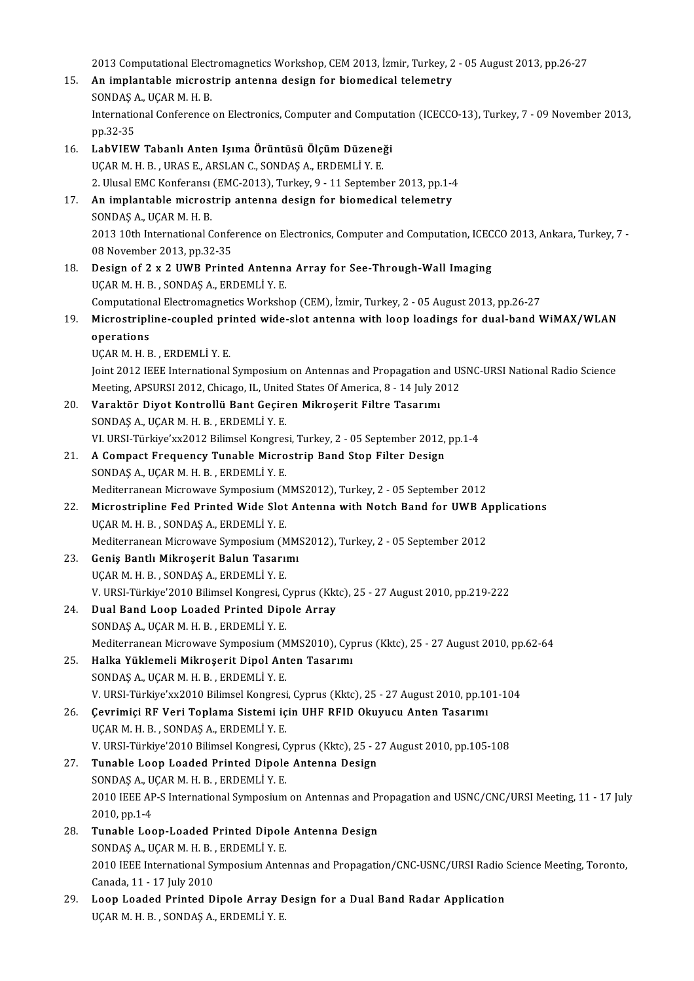2013 Computational Electromagnetics Workshop, CEM 2013, İzmir, Turkey, 2 - 05 August 2013, pp.26-27<br>An implantable misrestrip antanne design fan biomedisel telemetry.

- 2013 Computational Electromagnetics Workshop, CEM 2013, İzmir, Turkey, 2<br>15. An implantable microstrip antenna design for biomedical telemetry 2013 Computational Elect<br>An implantable microst<br>SONDAŞ A., UÇAR M. H. B.<br>International Conference An implantable microstrip antenna design for biomedical telemetry<br>SONDAŞ A., UÇAR M. H. B.<br>International Conference on Electronics, Computer and Computation (ICECCO-13), Turkey, 7 - 09 November 2013,<br>nn <sup>22–2E</sup> SONDAȘ<br>Internatio<br>pp.32-35<br>LobVIEW International Conference on Electronics, Computer and Computa<br>pp.32-35<br>16. LabVIEW Tabanlı Anten Işıma Örüntüsü Ölçüm Düzeneği<br>UCAB M H B - UBAS E ABSLAN C-SONDAS A, EPDEMLİ V E
- pp.32-35<br>LabVIEW Tabanlı Anten Işıma Örüntüsü Ölçüm Düzene;<br>UÇAR M. H. B. , URAS E., ARSLAN C., SONDAŞ A., ERDEMLİ Y. E.<br>2. Ulusal EMC Konferansı (EMC 2012), Turkey 9.-11 Sontemb UÇAR M. H. B., URAS E., ARSLAN C., SONDAŞ A., ERDEMLİ Y. E.<br>2. Ulusal EMC Konferansı (EMC-2013), Turkey, 9 - 11 September 2013, pp.1-4 UÇAR M. H. B., URAS E., ARSLAN C., SONDAŞ A., ERDEMLİ Y. E.<br>2. Ulusal EMC Konferansı (EMC-2013), Turkey, 9 - 11 September 2013, pp.1-4<br>17. An implantable microstrip antenna design for biomedical telemetry<br>SONDAS A. UCAR M. 2. Ulusal EMC Konferansı<br>**An implantable micros**<br>SONDAŞ A., UÇAR M. H. B.<br>2012.10th International C An implantable microstrip antenna design for biomedical telemetry<br>SONDAŞ A., UÇAR M. H. B.<br>2013 10th International Conference on Electronics, Computer and Computation, ICECCO 2013, Ankara, Turkey, 7 -<br>08 November 2013, pp. SONDAŞ A., UÇAR M. H. B.<br>2013 10th International Confe<br>08 November 2013, pp.32-35<br>Design of 2 v. 2 HWP Prints 18. O8 November 2013, pp.32-35<br>18. Design of 2 x 2 UWB Printed Antenna Array for See-Through-Wall Imaging UÇARM.H.B. ,SONDAŞA.,ERDEMLİY.E. Design of 2 x 2 UWB Printed Antenna Array for See-Through-Wall Imaging<br>UÇAR M. H. B. , SONDAŞ A., ERDEMLİ Y. E.<br>Computational Electromagnetics Workshop (CEM), İzmir, Turkey, 2 - 05 August 2013, pp.26-27<br>Misrostriplina soun UÇAR M. H. B. , SONDAŞ A., ERDEMLİ Y. E.<br>Computational Electromagnetics Workshop (CEM), İzmir, Turkey, 2 - 05 August 2013, pp.26-27<br>19. Microstripline-coupled printed wide-slot antenna with loop loadings for dual-band WiMA Computation<br>Microstripl<br>operations<br>UCAR M H E Microstripline-coupled pri<br>operations<br>UÇAR M. H. B. , ERDEMLİ Y. E.<br>Jaint 2012 JEEE International operations<br>UÇAR M. H. B. , ERDEMLİ Y. E.<br>Joint 2012 IEEE International Symposium on Antennas and Propagation and USNC-URSI National Radio Science<br>Mesting ARSURSI 2012, Chiesge, U. United States Of America, 9, . 14 July 201 UÇAR M. H. B. , ERDEMLİ Y. E.<br>Joint 2012 IEEE International Symposium on Antennas and Propagation and US<br>Meeting, APSURSI 2012, Chicago, IL, United States Of America, 8 - 14 July 2012<br>Vanaktën Divet Kontrollü Bant Cosinon 30. Joint 2012 IEEE International Symposium on Antennas and Propagation an<br>Meeting, APSURSI 2012, Chicago, IL, United States Of America, 8 - 14 July 2<br>20. Varaktör Diyot Kontrollü Bant Geçiren Mikroşerit Filtre Tasarımı<br>SO Meeting, APSURSI 2012, Chicago, IL, United States Of America, 8 - 14 July 2012<br>20. Varaktör Diyot Kontrollü Bant Geçiren Mikroşerit Filtre Tasarımı<br>SONDAŞ A., UÇAR M. H. B. , ERDEMLİ Y. E. Varaktör Diyot Kontrollü Bant Geçiren Mikroşerit Filtre Tasarımı<br>SONDAŞ A., UÇAR M. H. B. , ERDEMLİ Y. E.<br>VI. URSI-Türkiye'xx2012 Bilimsel Kongresi, Turkey, 2 - 05 September 2012, pp.1-4<br>A Compact Erequency Tunable Microst 21. A Compact Frequency Tunable Microstrip Band Stop Filter Design SONDAS A., UCAR M. H. B., ERDEMLI Y. E. VI. URSI-Türkiye'xx2012 Bilimsel Kongres<br>A Compact Frequency Tunable Micro<br>SONDAŞ A., UÇAR M. H. B. , ERDEMLİ Y. E.<br>Mediterranean Microurus Sumnesium (M A Compact Frequency Tunable Microstrip Band Stop Filter Design<br>SONDAS A., UÇAR M. H. B. , ERDEMLİ Y. E.<br>Mediterranean Microwave Symposium (MMS2012), Turkey, 2 - 05 September 2012<br>Microstripline Eod Printed Wide Slet Antenn 22. Microstripline Fed Printed Wide Slot Antenna with Notch Band for UWB Applications UCAR M. H. B., SONDAS A., ERDEMLI Y. E. Mediterranean Microwave Symposium (M<br>Microstripline Fed Printed Wide Slot<br>UÇAR M. H. B. , SONDAŞ A., ERDEMLİ Y. E.<br>Mediterranean Microwaye Symposium (M Microstripline Fed Printed Wide Slot Antenna with Notch Band for UWB A<br>UÇAR M. H. B. , SONDAŞ A., ERDEMLİ Y. E.<br>Mediterranean Microwave Symposium (MMS2012), Turkey, 2 - 05 September 2012<br>Conis Bantlı Mikrosorit Balun Tasar 23. Geniş Bantlı Mikroşerit Balun Tasarımı<br>UÇAR M. H. B., SONDAŞ A., ERDEMLİ Y. E. Mediterranean Microwave Symposium (M.<br>Geniş Bantlı Mikroşerit Balun Tasarıı<br>UÇAR M. H. B. , SONDAŞ A., ERDEMLİ Y. E.<br>V. UPSL Türkiye<sup>12010</sup> Bilimsel Kangresi, C Geniş Bantlı Mikroşerit Balun Tasarımı<br>UÇAR M. H. B. , SONDAŞ A., ERDEMLİ Y. E.<br>V. URSI-Türkiye'2010 Bilimsel Kongresi, Cyprus (Kktc), 25 - 27 August 2010, pp.219-222<br>Pual Band Loop Looded Printed Dinale Arrey. 24. Dual Band Loop Loaded Printed Dipole Array<br>SONDAS A., UCAR M. H. B., ERDEMLI Y. E. V. URSI-Türkiye'2010 Bilimsel Kongresi, C<br>Dual Band Loop Loaded Printed Dipe<br>SONDAŞ A., UÇAR M. H. B. , ERDEMLİ Y. E.<br>Mediterranean Misrovaya Symnesiym (M Dual Band Loop Loaded Printed Dipole Array<br>SONDAŞ A., UÇAR M. H. B. , ERDEMLİ Y. E.<br>Mediterranean Microwave Symposium (MMS2010), Cyprus (Kktc), 25 - 27 August 2010, pp.62-64<br>Halka Vüldemeli Mikrosenit Dipol Arten Tesenum. 25. Halka Yüklemeli Mikroşerit Dipol Anten Tasarımı<br>SONDAŞ A., UÇAR M. H. B., ERDEMLİ Y. E. Mediterranean Microwave Symposium (M<br>Halka Yüklemeli Mikroşerit Dipol Ant<br>SONDAŞ A., UÇAR M. H. B. , ERDEMLİY. E.<br>V. UPSL Türkiye'yy2010 Bilimsel Kongresi Halka Yüklemeli Mikroşerit Dipol Anten Tasarımı<br>SONDAŞ A., UÇAR M. H. B. , ERDEMLİ Y. E.<br>V. URSI-Türkiye'xx2010 Bilimsel Kongresi, Cyprus (Kktc), 25 - 27 August 2010, pp.101-104<br>Covrimisi BE Veri Toplama Sistemi isin UHE B 26. SONDAŞ A., UÇAR M. H. B. , ERDEMLİ Y. E.<br>26. Cevrimiçi RF Veri Toplama Sistemi için UHF RFID Okuyucu Anten Tasarımı<br>26. Cevrimiçi RF Veri Toplama Sistemi için UHF RFID Okuyucu Anten Tasarımı V. URSI-Türkiye'xx2010 Bilimsel Kongresi<br>Çevrimiçi RF Veri Toplama Sistemi iç<br>UÇAR M. H. B. , SONDAŞ A., ERDEMLİ Y. E.<br>V. URSI Türkiye'?010 Bilimsel Kongresi G Çevrimiçi RF Veri Toplama Sistemi için UHF RFID Okuyucu Anten Tasarımı<br>UÇAR M. H. B. , SONDAŞ A., ERDEMLİ Y. E.<br>V. URSI-Türkiye'2010 Bilimsel Kongresi, Cyprus (Kktc), 25 - 27 August 2010, pp.105-108<br>Tunabla Laan Laadad Bri 27. Tunable Loop Loaded Printed Dipole Antenna Design V. URSI-Türkiye'2010 Bilimsel Kongresi, C<br>Tunable Loop Loaded Printed Dipole<br>SONDAŞ A., UÇAR M. H. B. , ERDEMLİ Y. E.<br>2010 IEEE AR S International Sumnosium 2010 IEEE AP-S International Symposium on Antennas and Propagation and USNC/CNC/URSI Meeting, 11 - 17 July 2010, pp.1-4 SONDAS A, UÇAR M.H.B., ERDEMLİ Y.E. 2010 IEEE AP-S International Symposium on Antennas and Pr<br>2010, pp.1-4<br>28. Tunable Loop-Loaded Printed Dipole Antenna Design<br>SONDAS A JICAR M H B ERDEMLI V E 2010, pp.1-4<br>Tunable Loop-Loaded Printed Dipole<br>SONDAŞ A., UÇAR M. H. B. , ERDEMLİ Y. E.<br>2010 IEEE International Sumnasium Ante Tunable Loop-Loaded Printed Dipole Antenna Design<br>SONDAŞ A., UÇAR M. H. B. , ERDEMLİ Y. E.<br>2010 IEEE International Symposium Antennas and Propagation/CNC-USNC/URSI Radio Science Meeting, Toronto,<br>Canada 11 - 17 July 2010 SONDAȘ A., UÇAR M. H. B.,<br>2010 IEEE International Sy<br>Canada, 11 - 17 July 2010<br>Leen Leeded Brinted D

2010 IEEE International Symposium Antennas and Propagation/CNC-USNC/URSI Radio :<br>Canada, 11 - 17 July 2010<br>29. Loop Loaded Printed Dipole Array Design for a Dual Band Radar Application<br>UCAR M H B SONDAS A ERDEMLI Y F Canada, 11 - 17 July 2010<br><mark>Loop Loaded Printed Dipole Array</mark> D<br>UÇAR M. H. B. , SONDAŞ A., ERDEMLİ Y. E.